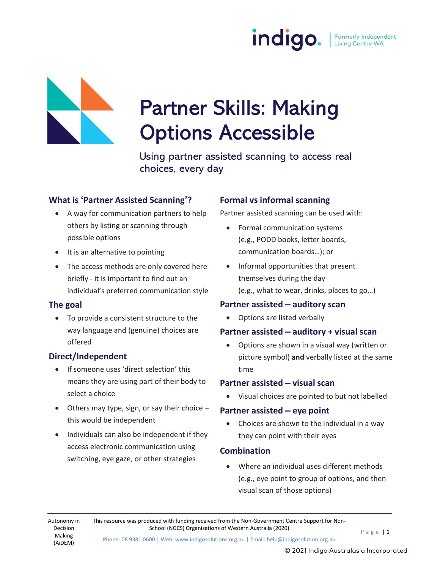

# Partner Skills: Making Options Accessible

Using partner assisted scanning to access real choices, every day

#### What is 'Partner Assisted Scanning'?

- A way for communication partners to help others by listing or scanning through possible options
- It is an alternative to pointing
- The access methods are only covered here briefly - it is important to find out an individual's preferred communication style

#### The goal

 To provide a consistent structure to the way language and (genuine) choices are offered

#### Direct/Independent

- If someone uses 'direct selection' this means they are using part of their body to select a choice
- $\bullet$  Others may type, sign, or say their choice  $$ this would be independent
- Individuals can also be independent if they access electronic communication using switching, eye gaze, or other strategies

#### Formal vs informal scanning

Partner assisted scanning can be used with:

- Formal communication systems (e.g., PODD books, letter boards, communication boards…); or
- Informal opportunities that present themselves during the day (e.g., what to wear, drinks, places to go…)

#### Partner assisted – auditory scan

Options are listed verbally

#### Partner assisted – auditory + visual scan

 Options are shown in a visual way (written or picture symbol) and verbally listed at the same time

#### Partner assisted – visual scan

Visual choices are pointed to but not labelled

#### Partner assisted – eye point

 Choices are shown to the individual in a way they can point with their eyes

#### **Combination**

 Where an individual uses different methods (e.g., eye point to group of options, and then visual scan of those options)

This resource was produced with funding received from the Non-Government Centre Support for Non-School (NGCS) Organisations of Western Australia (2020)<br>  $P \text{ a } g \text{ e } | \text{ 1}$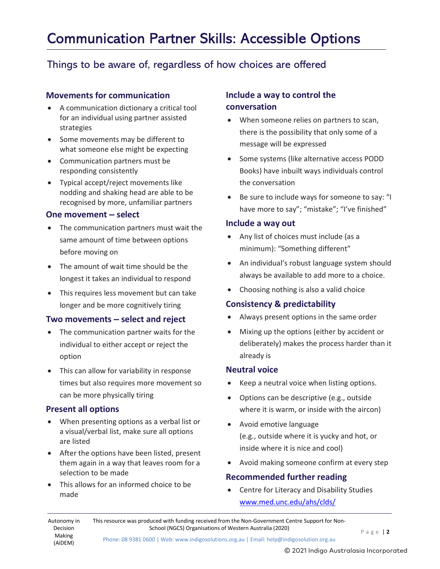## Communication Partner Skills: Accessible Options

### Things to be aware of, regardless of how choices are offered

#### Movements for communication

- A communication dictionary a critical tool for an individual using partner assisted strategies
- Some movements may be different to what someone else might be expecting
- Communication partners must be responding consistently
- Typical accept/reject movements like nodding and shaking head are able to be recognised by more, unfamiliar partners

#### One movement – select

- The communication partners must wait the same amount of time between options before moving on
- The amount of wait time should be the longest it takes an individual to respond
- This requires less movement but can take longer and be more cognitively tiring

#### Two movements – select and reject

- The communication partner waits for the individual to either accept or reject the option
- This can allow for variability in response times but also requires more movement so can be more physically tiring

#### Present all options

- When presenting options as a verbal list or a visual/verbal list, make sure all options are listed
- After the options have been listed, present them again in a way that leaves room for a selection to be made
- This allows for an informed choice to be made

#### Include a way to control the conversation

- When someone relies on partners to scan, there is the possibility that only some of a message will be expressed
- Some systems (like alternative access PODD Books) have inbuilt ways individuals control the conversation
- Be sure to include ways for someone to say: "I have more to say"; "mistake"; "I've finished"

#### Include a way out

- Any list of choices must include (as a minimum): "Something different"
- An individual's robust language system should always be available to add more to a choice.
- Choosing nothing is also a valid choice

#### Consistency & predictability

- Always present options in the same order
- Mixing up the options (either by accident or deliberately) makes the process harder than it already is

#### Neutral voice

- Keep a neutral voice when listing options.
- Options can be descriptive (e.g., outside where it is warm, or inside with the aircon)
- Avoid emotive language (e.g., outside where it is yucky and hot, or inside where it is nice and cool)
- Avoid making someone confirm at every step

#### Recommended further reading

 Centre for Literacy and Disability Studies www.med.unc.edu/ahs/clds/

This resource was produced with funding received from the Non-Government Centre Support for Non-School (NGCS) Organisations of Western Australia (2020) P a g e | 2

Phone: 08 9381 0600 | Web: www.indigosolutions.org.au | Email: help@indigosolution.org.au